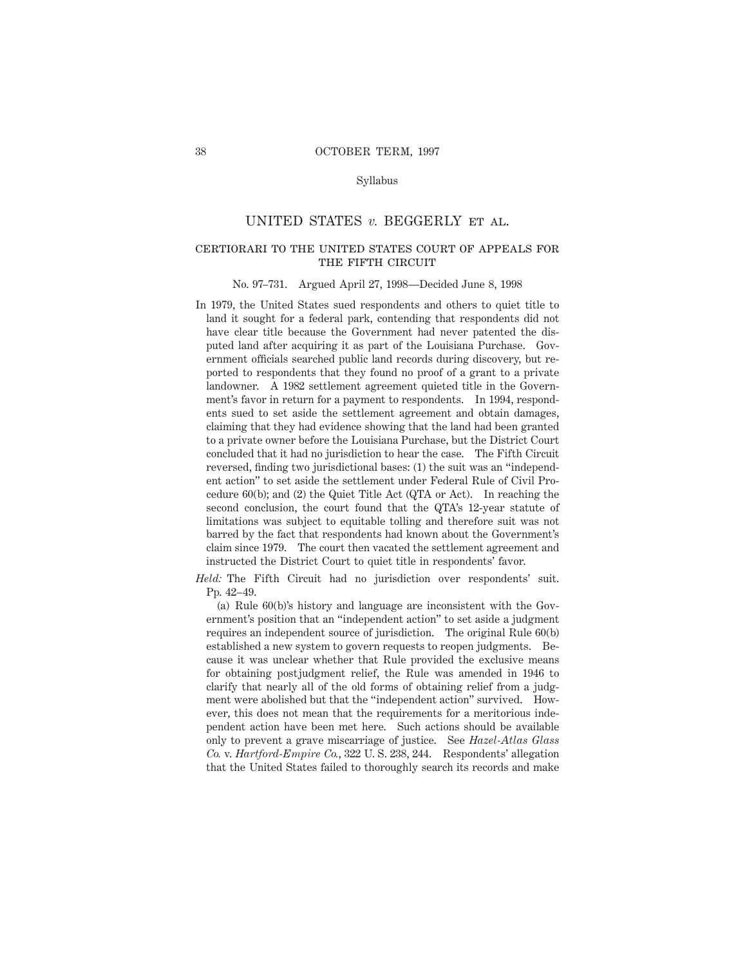### Syllabus

# UNITED STATES *v.* BEGGERLY et al.

# certiorari to the united states court of appeals for THE FIFTH CIRCUIT

#### No. 97–731. Argued April 27, 1998—Decided June 8, 1998

In 1979, the United States sued respondents and others to quiet title to land it sought for a federal park, contending that respondents did not have clear title because the Government had never patented the disputed land after acquiring it as part of the Louisiana Purchase. Government officials searched public land records during discovery, but reported to respondents that they found no proof of a grant to a private landowner. A 1982 settlement agreement quieted title in the Government's favor in return for a payment to respondents. In 1994, respondents sued to set aside the settlement agreement and obtain damages, claiming that they had evidence showing that the land had been granted to a private owner before the Louisiana Purchase, but the District Court concluded that it had no jurisdiction to hear the case. The Fifth Circuit reversed, finding two jurisdictional bases: (1) the suit was an "independent action" to set aside the settlement under Federal Rule of Civil Procedure 60(b); and (2) the Quiet Title Act (QTA or Act). In reaching the second conclusion, the court found that the QTA's 12-year statute of limitations was subject to equitable tolling and therefore suit was not barred by the fact that respondents had known about the Government's claim since 1979. The court then vacated the settlement agreement and instructed the District Court to quiet title in respondents' favor.

*Held:* The Fifth Circuit had no jurisdiction over respondents' suit. Pp. 42–49.

(a) Rule 60(b)'s history and language are inconsistent with the Government's position that an "independent action" to set aside a judgment requires an independent source of jurisdiction. The original Rule 60(b) established a new system to govern requests to reopen judgments. Because it was unclear whether that Rule provided the exclusive means for obtaining postjudgment relief, the Rule was amended in 1946 to clarify that nearly all of the old forms of obtaining relief from a judgment were abolished but that the "independent action" survived. However, this does not mean that the requirements for a meritorious independent action have been met here. Such actions should be available only to prevent a grave miscarriage of justice. See *Hazel-Atlas Glass Co.* v. *Hartford-Empire Co.*, 322 U. S. 238, 244. Respondents' allegation that the United States failed to thoroughly search its records and make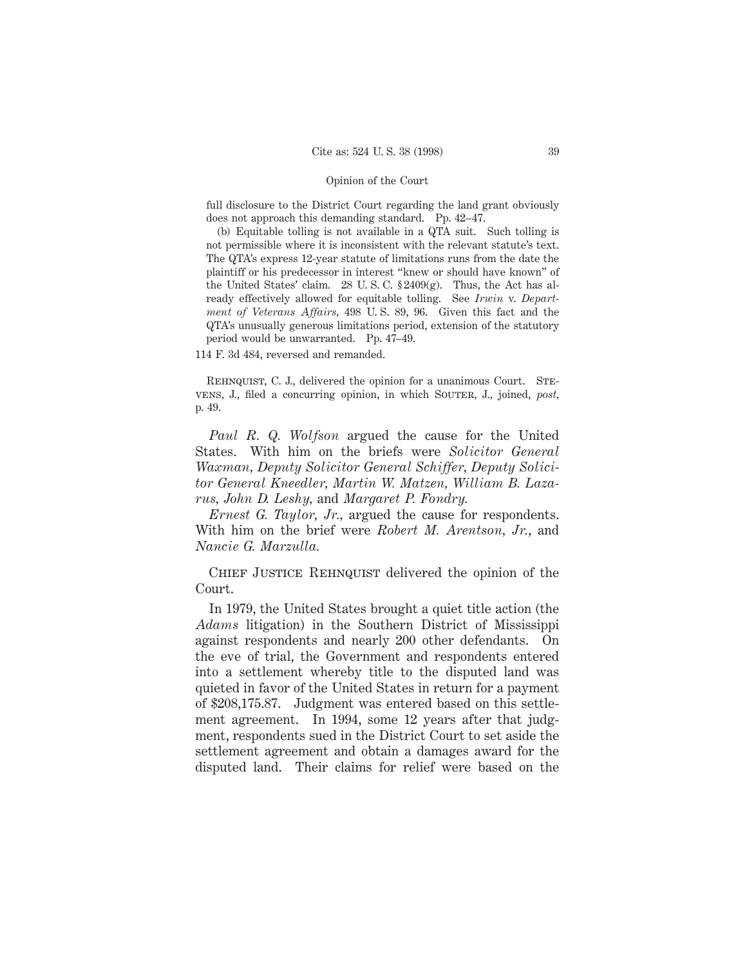full disclosure to the District Court regarding the land grant obviously does not approach this demanding standard. Pp. 42–47.

(b) Equitable tolling is not available in a QTA suit. Such tolling is not permissible where it is inconsistent with the relevant statute's text. The QTA's express 12-year statute of limitations runs from the date the plaintiff or his predecessor in interest "knew or should have known" of the United States' claim. 28 U.S.C.  $\S 2409(g)$ . Thus, the Act has already effectively allowed for equitable tolling. See *Irwin* v. *Department of Veterans Affairs,* 498 U. S. 89, 96. Given this fact and the QTA's unusually generous limitations period, extension of the statutory period would be unwarranted. Pp. 47–49.

114 F. 3d 484, reversed and remanded.

REHNQUIST, C. J., delivered the opinion for a unanimous Court. STEvens, J., filed a concurring opinion, in which Souter, J., joined, post, p. 49.

*Paul R. Q. Wolfson* argued the cause for the United States. With him on the briefs were *Solicitor General Waxman, Deputy Solicitor General Schiffer, Deputy Solicitor General Kneedler, Martin W. Matzen, William B. Lazarus, John D. Leshy,* and *Margaret P. Fondry.*

*Ernest G. Taylor, Jr.,* argued the cause for respondents. With him on the brief were *Robert M. Arentson, Jr.*, and *Nancie G. Marzulla.*

CHIEF JUSTICE REHNQUIST delivered the opinion of the Court.

In 1979, the United States brought a quiet title action (the *Adams* litigation) in the Southern District of Mississippi against respondents and nearly 200 other defendants. On the eve of trial, the Government and respondents entered into a settlement whereby title to the disputed land was quieted in favor of the United States in return for a payment of \$208,175.87. Judgment was entered based on this settlement agreement. In 1994, some 12 years after that judgment, respondents sued in the District Court to set aside the settlement agreement and obtain a damages award for the disputed land. Their claims for relief were based on the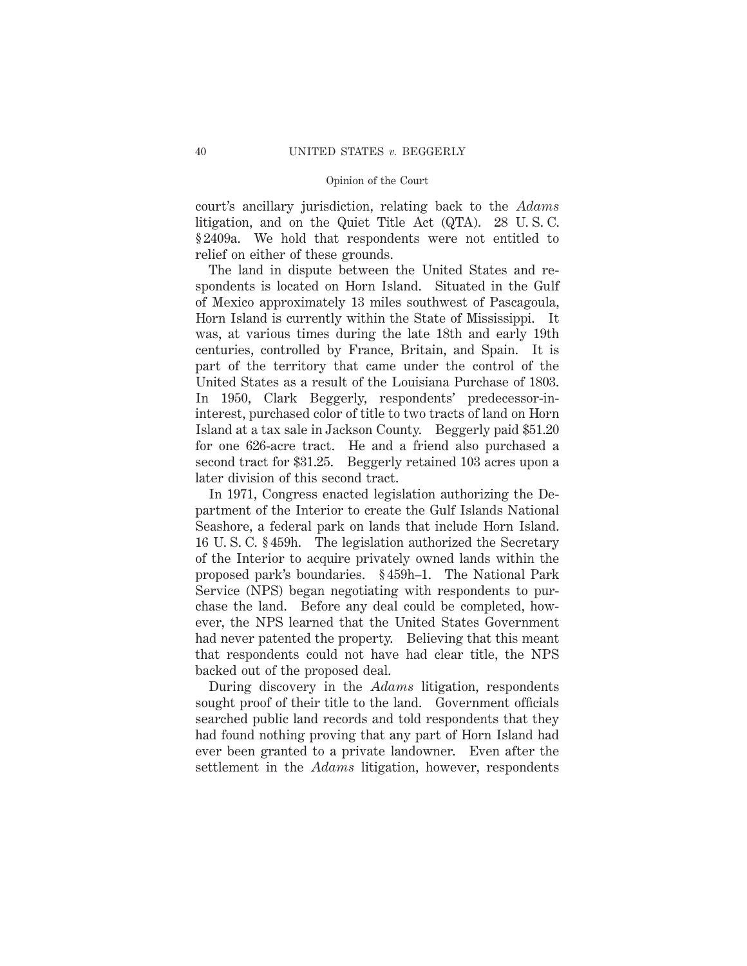court's ancillary jurisdiction, relating back to the *Adams* litigation, and on the Quiet Title Act (QTA). 28 U. S. C. § 2409a. We hold that respondents were not entitled to relief on either of these grounds.

The land in dispute between the United States and respondents is located on Horn Island. Situated in the Gulf of Mexico approximately 13 miles southwest of Pascagoula, Horn Island is currently within the State of Mississippi. It was, at various times during the late 18th and early 19th centuries, controlled by France, Britain, and Spain. It is part of the territory that came under the control of the United States as a result of the Louisiana Purchase of 1803. In 1950, Clark Beggerly, respondents' predecessor-ininterest, purchased color of title to two tracts of land on Horn Island at a tax sale in Jackson County. Beggerly paid \$51.20 for one 626-acre tract. He and a friend also purchased a second tract for \$31.25. Beggerly retained 103 acres upon a later division of this second tract.

In 1971, Congress enacted legislation authorizing the Department of the Interior to create the Gulf Islands National Seashore, a federal park on lands that include Horn Island. 16 U. S. C. § 459h. The legislation authorized the Secretary of the Interior to acquire privately owned lands within the proposed park's boundaries. § 459h–1. The National Park Service (NPS) began negotiating with respondents to purchase the land. Before any deal could be completed, however, the NPS learned that the United States Government had never patented the property. Believing that this meant that respondents could not have had clear title, the NPS backed out of the proposed deal.

During discovery in the *Adams* litigation, respondents sought proof of their title to the land. Government officials searched public land records and told respondents that they had found nothing proving that any part of Horn Island had ever been granted to a private landowner. Even after the settlement in the *Adams* litigation, however, respondents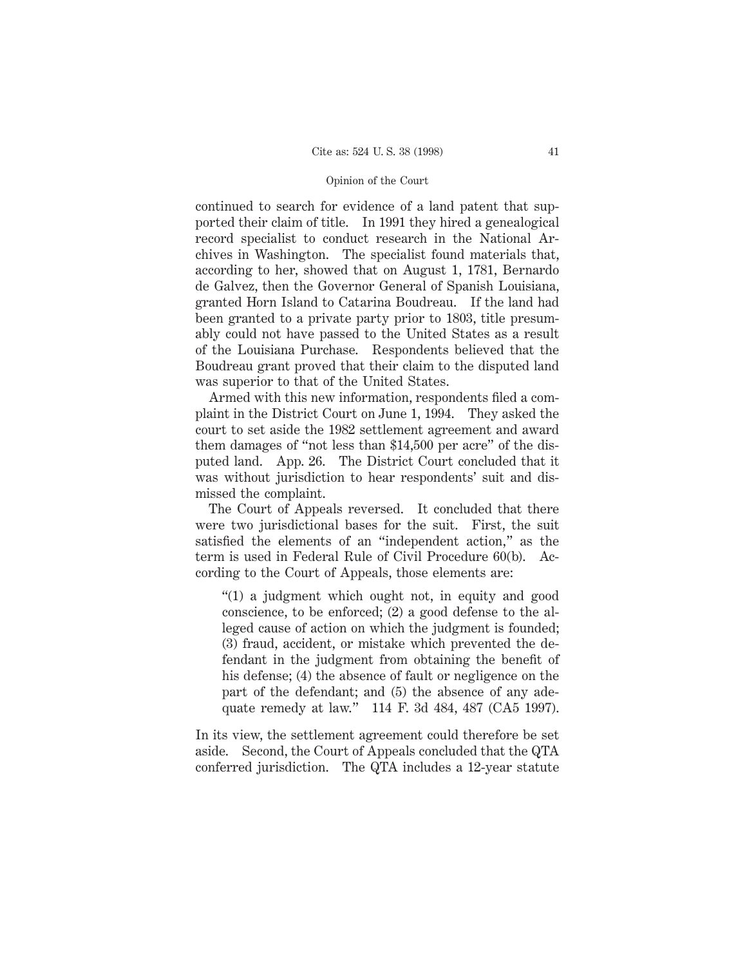continued to search for evidence of a land patent that supported their claim of title. In 1991 they hired a genealogical record specialist to conduct research in the National Archives in Washington. The specialist found materials that, according to her, showed that on August 1, 1781, Bernardo de Galvez, then the Governor General of Spanish Louisiana, granted Horn Island to Catarina Boudreau. If the land had been granted to a private party prior to 1803, title presumably could not have passed to the United States as a result of the Louisiana Purchase. Respondents believed that the Boudreau grant proved that their claim to the disputed land was superior to that of the United States.

Armed with this new information, respondents filed a complaint in the District Court on June 1, 1994. They asked the court to set aside the 1982 settlement agreement and award them damages of "not less than \$14,500 per acre" of the disputed land. App. 26. The District Court concluded that it was without jurisdiction to hear respondents' suit and dismissed the complaint.

The Court of Appeals reversed. It concluded that there were two jurisdictional bases for the suit. First, the suit satisfied the elements of an "independent action," as the term is used in Federal Rule of Civil Procedure 60(b). According to the Court of Appeals, those elements are:

"(1) a judgment which ought not, in equity and good conscience, to be enforced; (2) a good defense to the alleged cause of action on which the judgment is founded; (3) fraud, accident, or mistake which prevented the defendant in the judgment from obtaining the benefit of his defense; (4) the absence of fault or negligence on the part of the defendant; and (5) the absence of any adequate remedy at law." 114 F. 3d 484, 487 (CA5 1997).

In its view, the settlement agreement could therefore be set aside. Second, the Court of Appeals concluded that the QTA conferred jurisdiction. The QTA includes a 12-year statute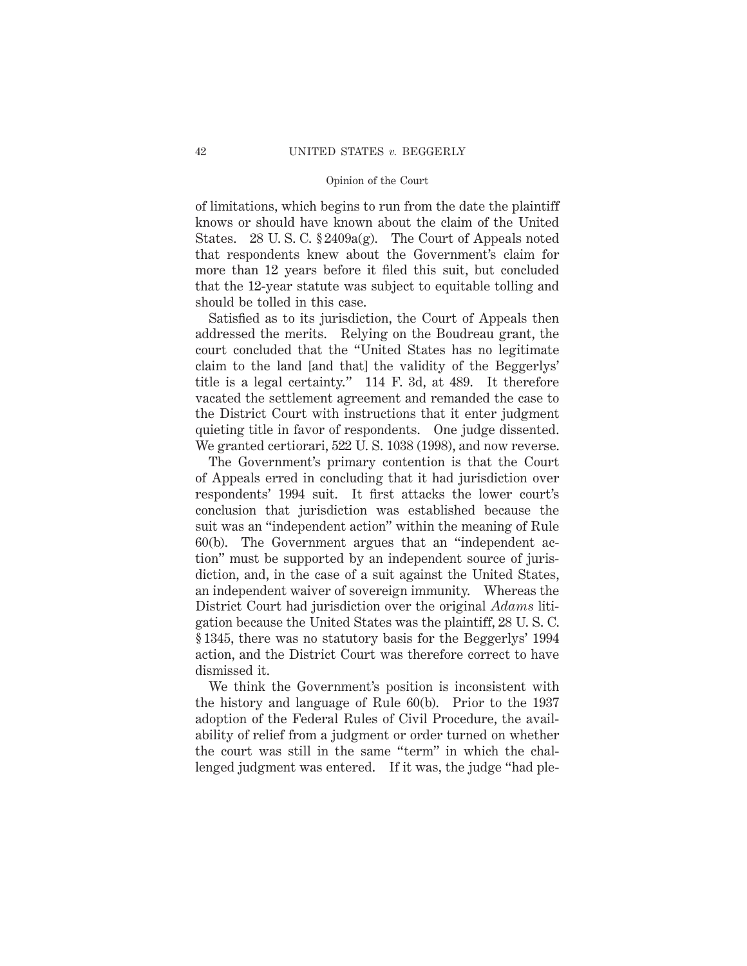of limitations, which begins to run from the date the plaintiff knows or should have known about the claim of the United States. 28 U. S. C. § 2409a(g). The Court of Appeals noted that respondents knew about the Government's claim for more than 12 years before it filed this suit, but concluded that the 12-year statute was subject to equitable tolling and should be tolled in this case.

Satisfied as to its jurisdiction, the Court of Appeals then addressed the merits. Relying on the Boudreau grant, the court concluded that the "United States has no legitimate claim to the land [and that] the validity of the Beggerlys' title is a legal certainty." 114 F. 3d, at 489. It therefore vacated the settlement agreement and remanded the case to the District Court with instructions that it enter judgment quieting title in favor of respondents. One judge dissented. We granted certiorari, 522 U. S. 1038 (1998), and now reverse.

The Government's primary contention is that the Court of Appeals erred in concluding that it had jurisdiction over respondents' 1994 suit. It first attacks the lower court's conclusion that jurisdiction was established because the suit was an "independent action" within the meaning of Rule 60(b). The Government argues that an "independent action" must be supported by an independent source of jurisdiction, and, in the case of a suit against the United States, an independent waiver of sovereign immunity. Whereas the District Court had jurisdiction over the original *Adams* litigation because the United States was the plaintiff, 28 U. S. C. § 1345, there was no statutory basis for the Beggerlys' 1994 action, and the District Court was therefore correct to have dismissed it.

We think the Government's position is inconsistent with the history and language of Rule 60(b). Prior to the 1937 adoption of the Federal Rules of Civil Procedure, the availability of relief from a judgment or order turned on whether the court was still in the same "term" in which the challenged judgment was entered. If it was, the judge "had ple-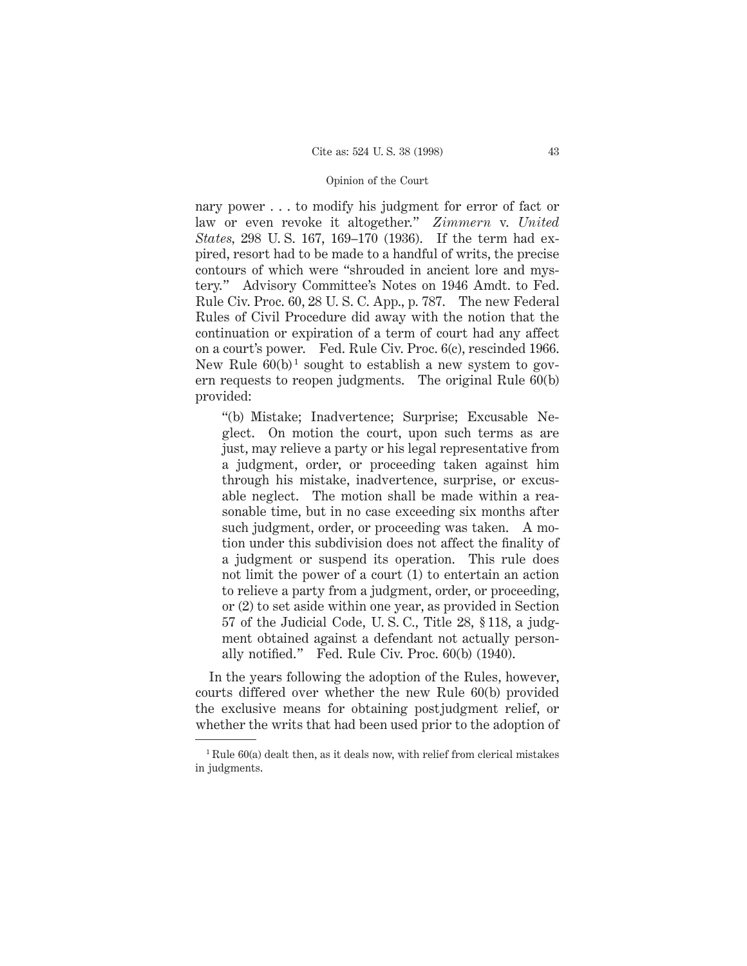nary power . . . to modify his judgment for error of fact or law or even revoke it altogether." *Zimmern* v. *United States,* 298 U. S. 167, 169–170 (1936). If the term had expired, resort had to be made to a handful of writs, the precise contours of which were "shrouded in ancient lore and mystery." Advisory Committee's Notes on 1946 Amdt. to Fed. Rule Civ. Proc. 60, 28 U. S. C. App., p. 787. The new Federal Rules of Civil Procedure did away with the notion that the continuation or expiration of a term of court had any affect on a court's power. Fed. Rule Civ. Proc. 6(c), rescinded 1966. New Rule  $60(b)^1$  sought to establish a new system to govern requests to reopen judgments. The original Rule 60(b) provided:

"(b) Mistake; Inadvertence; Surprise; Excusable Neglect. On motion the court, upon such terms as are just, may relieve a party or his legal representative from a judgment, order, or proceeding taken against him through his mistake, inadvertence, surprise, or excusable neglect. The motion shall be made within a reasonable time, but in no case exceeding six months after such judgment, order, or proceeding was taken. A motion under this subdivision does not affect the finality of a judgment or suspend its operation. This rule does not limit the power of a court (1) to entertain an action to relieve a party from a judgment, order, or proceeding, or (2) to set aside within one year, as provided in Section 57 of the Judicial Code, U. S. C., Title 28, § 118, a judgment obtained against a defendant not actually personally notified." Fed. Rule Civ. Proc. 60(b) (1940).

In the years following the adoption of the Rules, however, courts differed over whether the new Rule 60(b) provided the exclusive means for obtaining postjudgment relief, or whether the writs that had been used prior to the adoption of

 $1$  Rule 60(a) dealt then, as it deals now, with relief from clerical mistakes in judgments.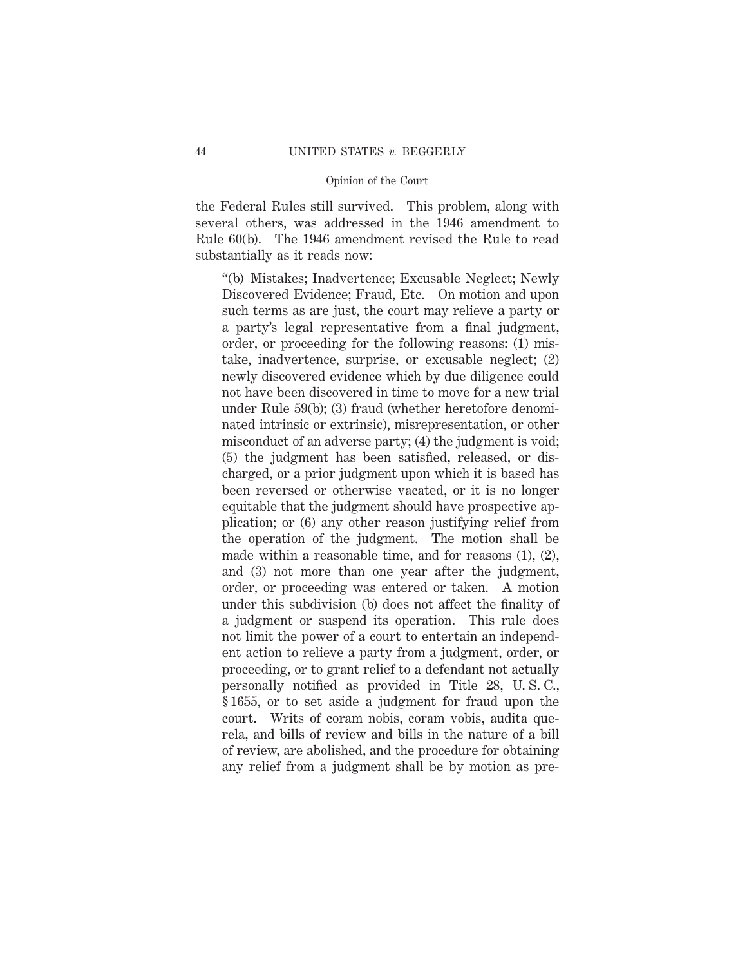the Federal Rules still survived. This problem, along with several others, was addressed in the 1946 amendment to Rule 60(b). The 1946 amendment revised the Rule to read substantially as it reads now:

"(b) Mistakes; Inadvertence; Excusable Neglect; Newly Discovered Evidence; Fraud, Etc. On motion and upon such terms as are just, the court may relieve a party or a party's legal representative from a final judgment, order, or proceeding for the following reasons: (1) mistake, inadvertence, surprise, or excusable neglect; (2) newly discovered evidence which by due diligence could not have been discovered in time to move for a new trial under Rule 59(b); (3) fraud (whether heretofore denominated intrinsic or extrinsic), misrepresentation, or other misconduct of an adverse party; (4) the judgment is void; (5) the judgment has been satisfied, released, or discharged, or a prior judgment upon which it is based has been reversed or otherwise vacated, or it is no longer equitable that the judgment should have prospective application; or (6) any other reason justifying relief from the operation of the judgment. The motion shall be made within a reasonable time, and for reasons (1), (2), and (3) not more than one year after the judgment, order, or proceeding was entered or taken. A motion under this subdivision (b) does not affect the finality of a judgment or suspend its operation. This rule does not limit the power of a court to entertain an independent action to relieve a party from a judgment, order, or proceeding, or to grant relief to a defendant not actually personally notified as provided in Title 28, U. S. C., § 1655, or to set aside a judgment for fraud upon the court. Writs of coram nobis, coram vobis, audita querela, and bills of review and bills in the nature of a bill of review, are abolished, and the procedure for obtaining any relief from a judgment shall be by motion as pre-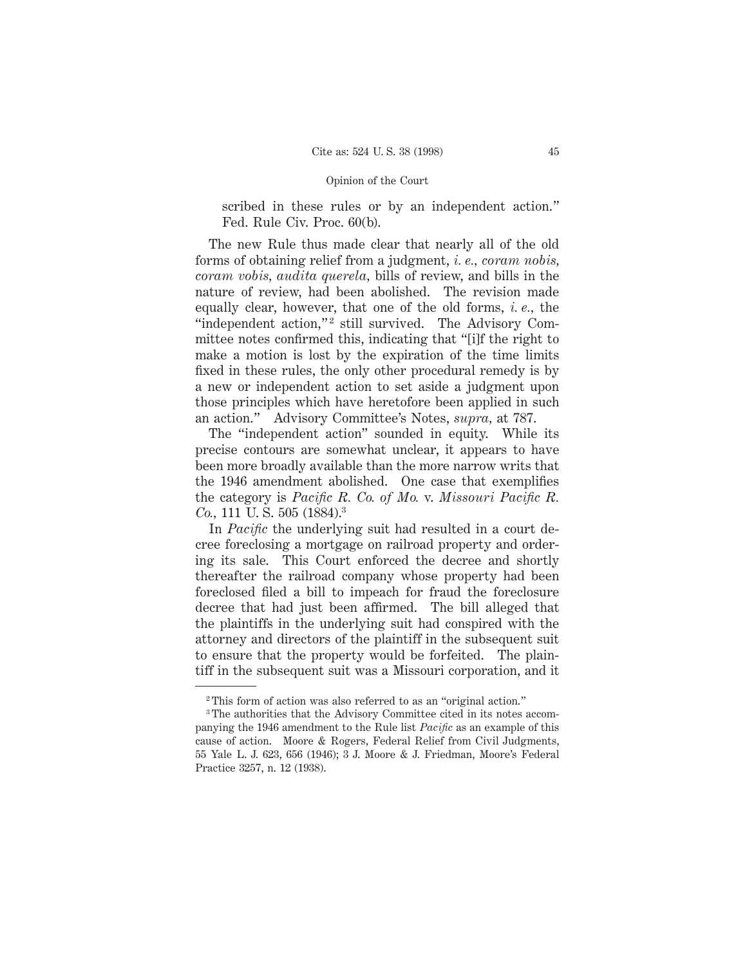scribed in these rules or by an independent action." Fed. Rule Civ. Proc. 60(b).

The new Rule thus made clear that nearly all of the old forms of obtaining relief from a judgment, *i. e., coram nobis, coram vobis, audita querela,* bills of review, and bills in the nature of review, had been abolished. The revision made equally clear, however, that one of the old forms, *i. e.,* the "independent action,"<sup>2</sup> still survived. The Advisory Committee notes confirmed this, indicating that "[i]f the right to make a motion is lost by the expiration of the time limits fixed in these rules, the only other procedural remedy is by a new or independent action to set aside a judgment upon those principles which have heretofore been applied in such an action." Advisory Committee's Notes, *supra,* at 787.

The "independent action" sounded in equity. While its precise contours are somewhat unclear, it appears to have been more broadly available than the more narrow writs that the 1946 amendment abolished. One case that exemplifies the category is *Pacific R. Co. of Mo.* v. *Missouri Pacific R. Co.*, 111 U.S. 505 (1884).<sup>3</sup>

In *Pacific* the underlying suit had resulted in a court decree foreclosing a mortgage on railroad property and ordering its sale. This Court enforced the decree and shortly thereafter the railroad company whose property had been foreclosed filed a bill to impeach for fraud the foreclosure decree that had just been affirmed. The bill alleged that the plaintiffs in the underlying suit had conspired with the attorney and directors of the plaintiff in the subsequent suit to ensure that the property would be forfeited. The plaintiff in the subsequent suit was a Missouri corporation, and it

<sup>2</sup> This form of action was also referred to as an "original action."

<sup>3</sup> The authorities that the Advisory Committee cited in its notes accompanying the 1946 amendment to the Rule list *Pacific* as an example of this cause of action. Moore & Rogers, Federal Relief from Civil Judgments, 55 Yale L. J. 623, 656 (1946); 3 J. Moore & J. Friedman, Moore's Federal Practice 3257, n. 12 (1938).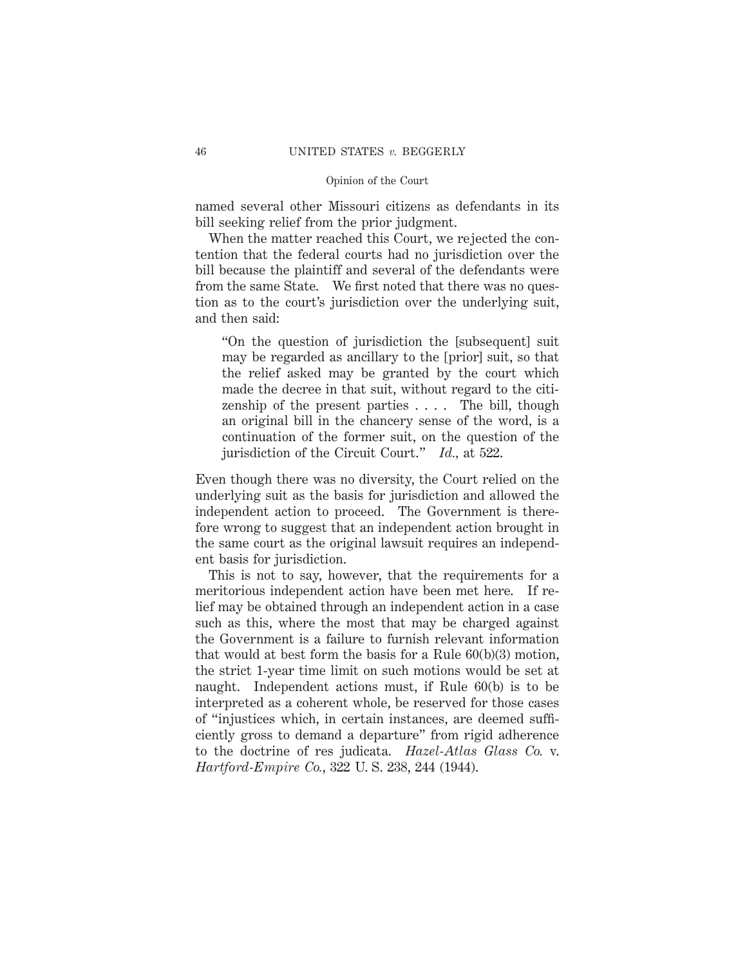named several other Missouri citizens as defendants in its bill seeking relief from the prior judgment.

When the matter reached this Court, we rejected the contention that the federal courts had no jurisdiction over the bill because the plaintiff and several of the defendants were from the same State. We first noted that there was no question as to the court's jurisdiction over the underlying suit, and then said:

"On the question of jurisdiction the [subsequent] suit may be regarded as ancillary to the [prior] suit, so that the relief asked may be granted by the court which made the decree in that suit, without regard to the citizenship of the present parties  $\dots$ . The bill, though an original bill in the chancery sense of the word, is a continuation of the former suit, on the question of the jurisdiction of the Circuit Court." *Id.,* at 522.

Even though there was no diversity, the Court relied on the underlying suit as the basis for jurisdiction and allowed the independent action to proceed. The Government is therefore wrong to suggest that an independent action brought in the same court as the original lawsuit requires an independent basis for jurisdiction.

This is not to say, however, that the requirements for a meritorious independent action have been met here. If relief may be obtained through an independent action in a case such as this, where the most that may be charged against the Government is a failure to furnish relevant information that would at best form the basis for a Rule 60(b)(3) motion, the strict 1-year time limit on such motions would be set at naught. Independent actions must, if Rule 60(b) is to be interpreted as a coherent whole, be reserved for those cases of "injustices which, in certain instances, are deemed sufficiently gross to demand a departure" from rigid adherence to the doctrine of res judicata. *Hazel-Atlas Glass Co.* v. *Hartford-Empire Co.*, 322 U. S. 238, 244 (1944).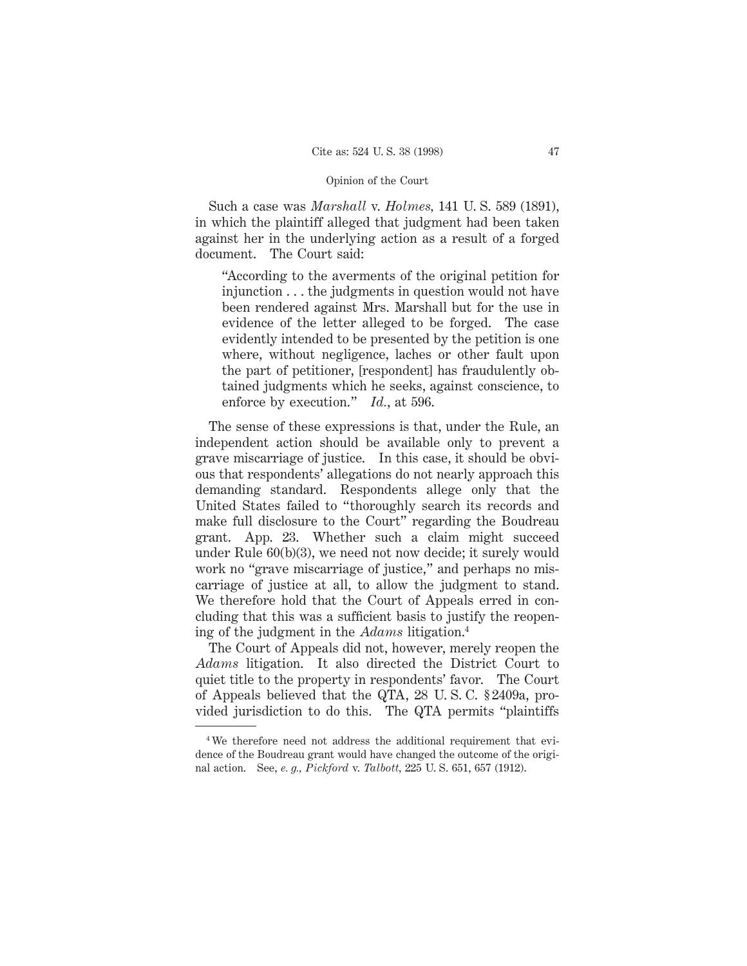Such a case was *Marshall* v. *Holmes,* 141 U. S. 589 (1891), in which the plaintiff alleged that judgment had been taken against her in the underlying action as a result of a forged document. The Court said:

"According to the averments of the original petition for injunction . . . the judgments in question would not have been rendered against Mrs. Marshall but for the use in evidence of the letter alleged to be forged. The case evidently intended to be presented by the petition is one where, without negligence, laches or other fault upon the part of petitioner, [respondent] has fraudulently obtained judgments which he seeks, against conscience, to enforce by execution." *Id.*, at 596.

The sense of these expressions is that, under the Rule, an independent action should be available only to prevent a grave miscarriage of justice. In this case, it should be obvious that respondents' allegations do not nearly approach this demanding standard. Respondents allege only that the United States failed to "thoroughly search its records and make full disclosure to the Court" regarding the Boudreau grant. App. 23. Whether such a claim might succeed under Rule 60(b)(3), we need not now decide; it surely would work no "grave miscarriage of justice," and perhaps no miscarriage of justice at all, to allow the judgment to stand. We therefore hold that the Court of Appeals erred in concluding that this was a sufficient basis to justify the reopening of the judgment in the *Adams* litigation.4

The Court of Appeals did not, however, merely reopen the *Adams* litigation. It also directed the District Court to quiet title to the property in respondents' favor. The Court of Appeals believed that the QTA, 28 U. S. C. § 2409a, provided jurisdiction to do this. The QTA permits "plaintiffs

<sup>&</sup>lt;sup>4</sup>We therefore need not address the additional requirement that evidence of the Boudreau grant would have changed the outcome of the original action. See, *e. g., Pickford* v. *Talbott,* 225 U. S. 651, 657 (1912).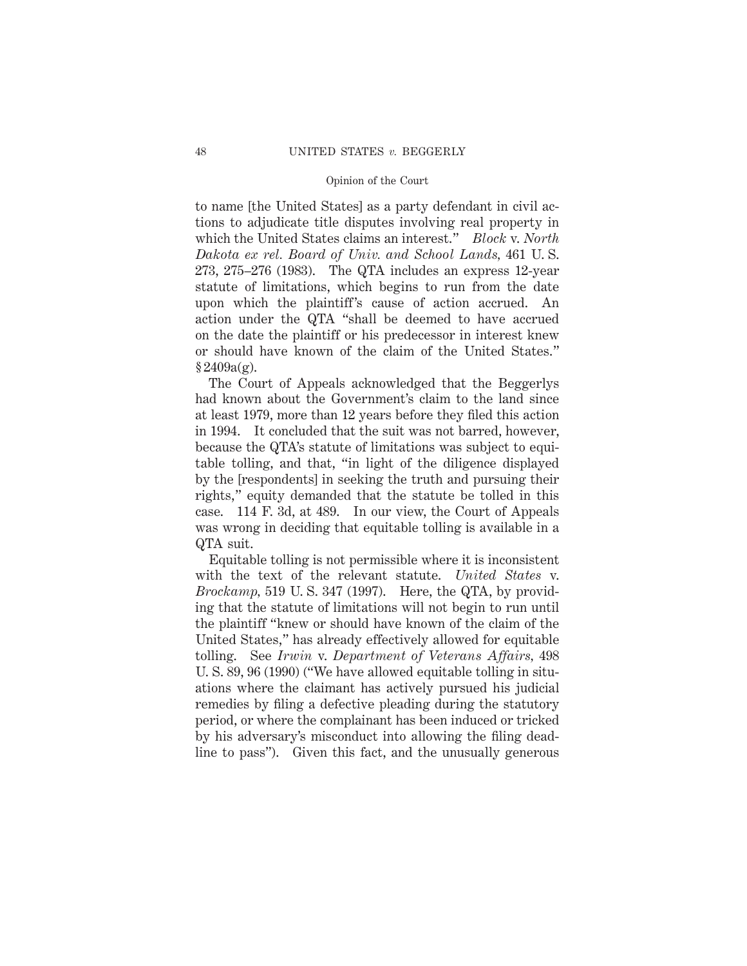to name [the United States] as a party defendant in civil actions to adjudicate title disputes involving real property in which the United States claims an interest." *Block* v. *North Dakota ex rel. Board of Univ. and School Lands,* 461 U. S. 273, 275–276 (1983). The QTA includes an express 12-year statute of limitations, which begins to run from the date upon which the plaintiff's cause of action accrued. An action under the QTA "shall be deemed to have accrued on the date the plaintiff or his predecessor in interest knew or should have known of the claim of the United States."  $§ 2409a(g).$ 

The Court of Appeals acknowledged that the Beggerlys had known about the Government's claim to the land since at least 1979, more than 12 years before they filed this action in 1994. It concluded that the suit was not barred, however, because the QTA's statute of limitations was subject to equitable tolling, and that, "in light of the diligence displayed by the [respondents] in seeking the truth and pursuing their rights," equity demanded that the statute be tolled in this case. 114 F. 3d, at 489. In our view, the Court of Appeals was wrong in deciding that equitable tolling is available in a QTA suit.

Equitable tolling is not permissible where it is inconsistent with the text of the relevant statute. *United States* v. *Brockamp,* 519 U. S. 347 (1997). Here, the QTA, by providing that the statute of limitations will not begin to run until the plaintiff "knew or should have known of the claim of the United States," has already effectively allowed for equitable tolling. See *Irwin* v. *Department of Veterans Affairs,* 498 U. S. 89, 96 (1990) ("We have allowed equitable tolling in situations where the claimant has actively pursued his judicial remedies by filing a defective pleading during the statutory period, or where the complainant has been induced or tricked by his adversary's misconduct into allowing the filing deadline to pass"). Given this fact, and the unusually generous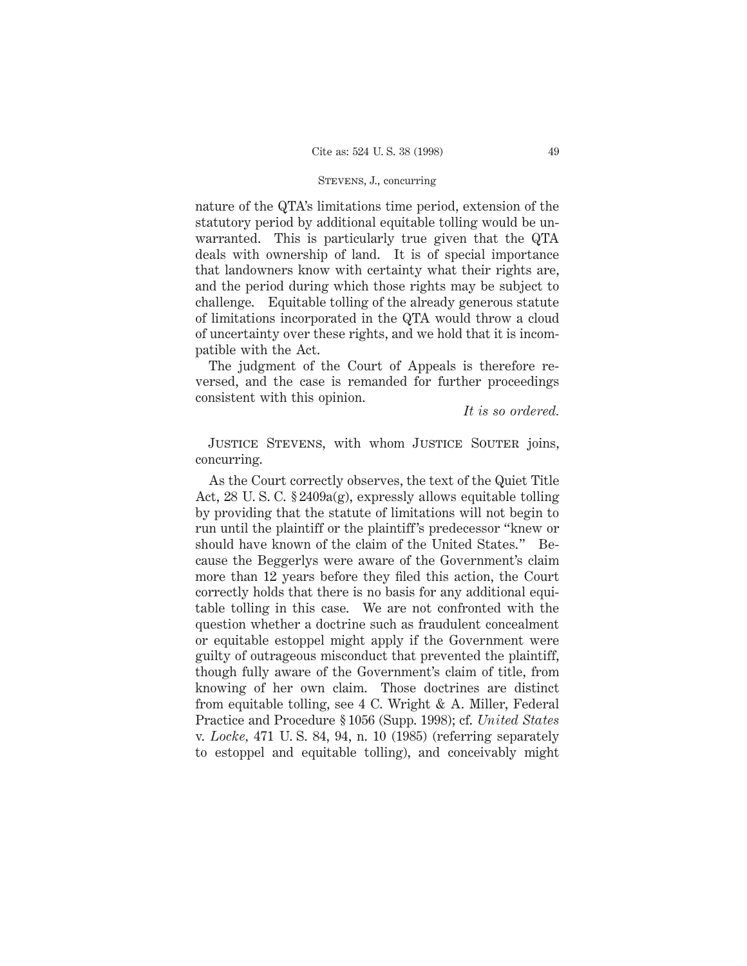# STEVENS, J., concurring

nature of the QTA's limitations time period, extension of the statutory period by additional equitable tolling would be unwarranted. This is particularly true given that the QTA deals with ownership of land. It is of special importance that landowners know with certainty what their rights are, and the period during which those rights may be subject to challenge. Equitable tolling of the already generous statute of limitations incorporated in the QTA would throw a cloud of uncertainty over these rights, and we hold that it is incompatible with the Act.

The judgment of the Court of Appeals is therefore reversed, and the case is remanded for further proceedings consistent with this opinion.

*It is so ordered.*

JUSTICE STEVENS, with whom JUSTICE SOUTER joins, concurring.

As the Court correctly observes, the text of the Quiet Title Act, 28 U. S. C. § 2409a(g), expressly allows equitable tolling by providing that the statute of limitations will not begin to run until the plaintiff or the plaintiff's predecessor "knew or should have known of the claim of the United States." Because the Beggerlys were aware of the Government's claim more than 12 years before they filed this action, the Court correctly holds that there is no basis for any additional equitable tolling in this case. We are not confronted with the question whether a doctrine such as fraudulent concealment or equitable estoppel might apply if the Government were guilty of outrageous misconduct that prevented the plaintiff, though fully aware of the Government's claim of title, from knowing of her own claim. Those doctrines are distinct from equitable tolling, see 4 C. Wright & A. Miller, Federal Practice and Procedure § 1056 (Supp. 1998); cf. *United States* v. *Locke,* 471 U. S. 84, 94, n. 10 (1985) (referring separately to estoppel and equitable tolling), and conceivably might